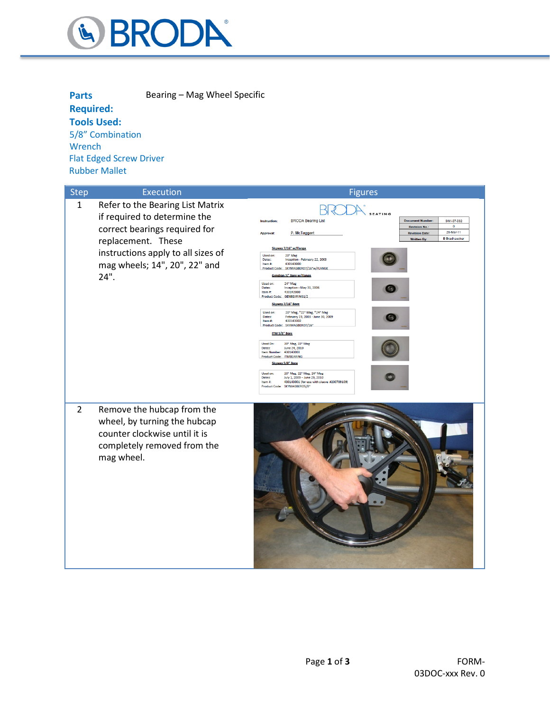

| <b>Parts</b>                   | Bearing – Mag Wheel Specific |
|--------------------------------|------------------------------|
| <b>Required:</b>               |                              |
| <b>Tools Used:</b>             |                              |
| 5/8" Combination               |                              |
| Wrench                         |                              |
| <b>Flat Edged Screw Driver</b> |                              |
| <b>Rubber Mallet</b>           |                              |

| <b>Step</b>  | <b>Execution</b>                                                                                                                                                                                       | <b>Figures</b>                                                                                                                                                                                                                                                                                                                                                                                                                                                                                                                                                                                                                                                                                                                                                                                                                                                                                                                                                                                                                                                                                           |
|--------------|--------------------------------------------------------------------------------------------------------------------------------------------------------------------------------------------------------|----------------------------------------------------------------------------------------------------------------------------------------------------------------------------------------------------------------------------------------------------------------------------------------------------------------------------------------------------------------------------------------------------------------------------------------------------------------------------------------------------------------------------------------------------------------------------------------------------------------------------------------------------------------------------------------------------------------------------------------------------------------------------------------------------------------------------------------------------------------------------------------------------------------------------------------------------------------------------------------------------------------------------------------------------------------------------------------------------------|
| $\mathbf{1}$ | Refer to the Bearing List Matrix<br>if required to determine the<br>correct bearings required for<br>replacement. These<br>instructions apply to all sizes of<br>mag wheels; 14", 20", 22" and<br>24". | $H^{\prime}$<br><b>ATING</b><br><b>BRODA Bearing List</b><br><b>Document Number:</b><br>SWI-07-032<br>Instruction:<br>$\circ$<br><b>Revision No.</b><br>28-Mar-11<br>P. McTaggart<br><b>Approval:</b><br><b>Revision Date:</b><br><b>B</b> Bradhaecker<br><b>Written By:</b><br>Skyway 7/16" w/Flange<br>Used on:<br>20" Mag<br>Dates:<br>Inception - February 22, 2003<br>430143000<br>Item #:<br>Product Code: SKYMAGBERO7/16"w/FLANGE<br><b>Gendron X" Bore w/Flange</b><br>24" Mag<br>Used on:<br>Inception - May 31, 2006<br>Dates:<br>Item #:<br>430142000<br>Product Code: GENBEARING1/2<br>Skyway 7/16" Bore<br>20" Mag, *22" Mag, *24" Mag<br>Used on:<br>February 23, 2003 - June 30, 2009<br>Dates:<br>430143002<br>Item#:<br>Product Code: SKYMAGBER07/16*<br>ITM 5/8" Bore<br>Used On:<br>20" Mag, 22" Mag<br>June 24, 2010<br>Dates:<br>Item Number: 430143003<br>Product Code: ITMBEARING<br>Skyway 5/8" Bore<br>20" Mag, 22" Mag, 24" Mag<br>Used on:<br>July 1, 2009 - June 29, 2010<br>Dates:<br>Item #:<br>430143001 (for use with sleeve #200709109)<br>Product Code: SKYMAGBERO5/8" |
| 2            | Remove the hubcap from the<br>wheel, by turning the hubcap<br>counter clockwise until it is<br>completely removed from the<br>mag wheel.                                                               |                                                                                                                                                                                                                                                                                                                                                                                                                                                                                                                                                                                                                                                                                                                                                                                                                                                                                                                                                                                                                                                                                                          |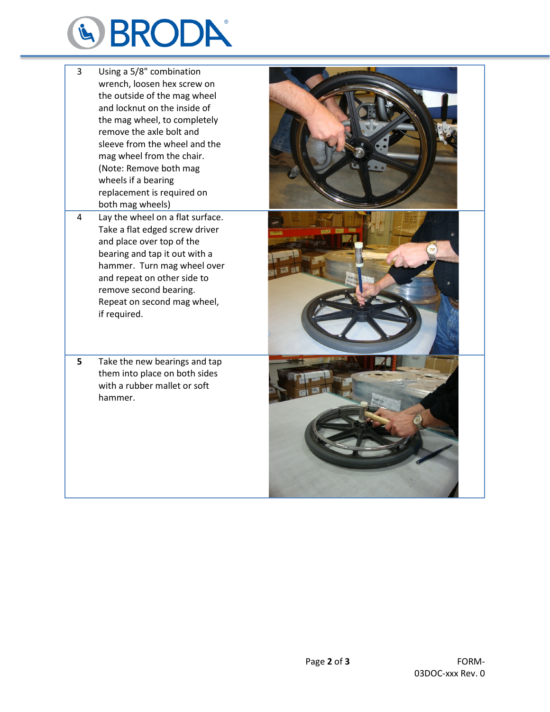

- 3 Using a 5/8" combination wrench, loosen hex screw on the outside of the mag wheel and locknut on the inside of the mag wheel, to completely remove the axle bolt and sleeve from the wheel and the mag wheel from the chair. (Note: Remove both mag wheels if a bearing replacement is required on both mag wheels)
- 4 Lay the wheel on a flat surface. Take a flat edged screw driver and place over top of the bearing and tap it out with a hammer. Turn mag wheel over and repeat on other side to remove second bearing. Repeat on second mag wheel, if required.
- **5** Take the new bearings and tap them into place on both sides with a rubber mallet or soft hammer.